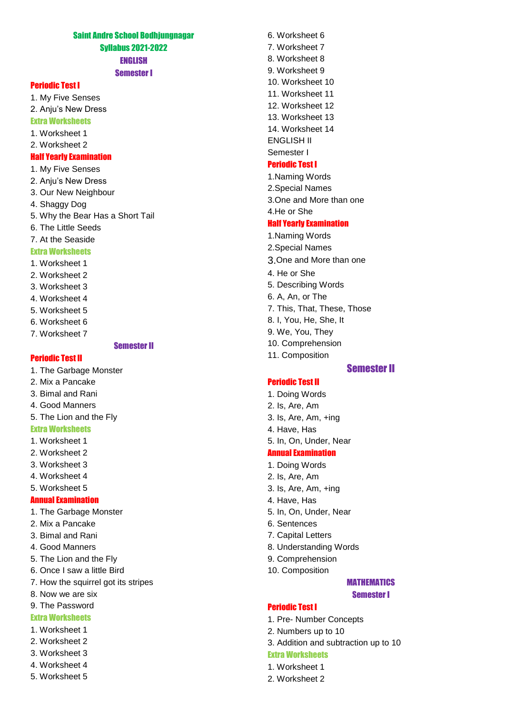### Saint Andre School Bodhjungnagar Syllabus 2021-2022 ENGLISH

#### Semester I

### Periodic Test I

1. My Five Senses

2. Anju's New Dress

#### Extra Worksheets

- 1. Worksheet 1
- 2. Worksheet 2

#### Half Yearly Examination

- 1. My Five Senses
- 2. Anju's New Dress
- 3. Our New Neighbour
- 4. Shaggy Dog
- 5. Why the Bear Has a Short Tail
- 6. The Little Seeds
- 7. At the Seaside

#### Extra Worksheets

- 1. Worksheet 1
- 2. Worksheet 2
- 3. Worksheet 3
- 4. Worksheet 4
- 5. Worksheet 5
- 6. Worksheet 6
- 7. Worksheet 7

#### Semester II

### Periodic Test II

1. The Garbage Monster

- 2. Mix a Pancake
- 3. Bimal and Rani
- 4. Good Manners
- 5. The Lion and the Fly

# Extra Worksheets

- 1. Worksheet 1
- 2. Worksheet 2
- 3. Worksheet 3
- 4. Worksheet 4
- 5. Worksheet 5

## Annual Examination

- 1. The Garbage Monster
- 2. Mix a Pancake
- 3. Bimal and Rani
- 4. Good Manners
- 5. The Lion and the Fly
- 6. Once I saw a little Bird
- 7. How the squirrel got its stripes
- 8. Now we are six
- 9. The Password

### Extra Worksheets

- 1. Worksheet 1
- 2. Worksheet 2
- 3. Worksheet 3
- 4. Worksheet 4
- 5. Worksheet 5

6. Worksheet 6 7. Worksheet 7 8. Worksheet 8 9. Worksheet 9 10. Worksheet 10 11. Worksheet 11 12. Worksheet 12 13. Worksheet 13 14. Worksheet 14 ENGLISH II Semester I

### Periodic Test I

- 1.Naming Words 2.Special Names 3.One and More than one 4.He or She Half Yearly Examination 1.Naming Words 2.Special Names 3.One and More than one 4. He or She 5. Describing Words 6. A, An, or The 7. This, That, These, Those
- 8. I, You, He, She, It
- 9. We, You, They
- 10. Comprehension
- 11. Composition
- Semester II

### Periodic Test II

- 1. Doing Words
- 2. Is, Are, Am
- 3. Is, Are, Am, +ing
- 4. Have, Has
- 5. In, On, Under, Near

#### Annual Examination

- 1. Doing Words
- 2. Is, Are, Am
- 3. Is, Are, Am, +ing
- 4. Have, Has
- 5. In, On, Under, Near
- 6. Sentences
- 7. Capital Letters
- 8. Understanding Words
- 9. Comprehension
- 10. Composition

#### **MATHEMATICS** Semester I

#### Periodic Test I

- 1. Pre- Number Concepts
- 2. Numbers up to 10
- 3. Addition and subtraction up to 10

### Extra Worksheets

- 1. Worksheet 1
- 2. Worksheet 2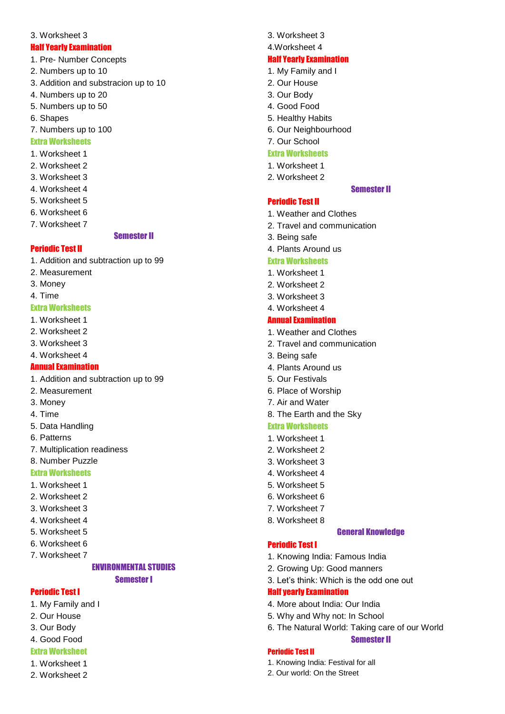#### 3. Worksheet 3

#### Half Yearly Examination

- 1. Pre- Number Concepts
- 2. Numbers up to 10
- 3. Addition and substracion up to 10
- 4. Numbers up to 20
- 5. Numbers up to 50
- 6. Shapes
- 7. Numbers up to 100

# Extra Worksheets

- 1. Worksheet 1
- 2. Worksheet 2
- 3. Worksheet 3
- 4. Worksheet 4
- 5. Worksheet 5
- 6. Worksheet 6
- 7. Worksheet 7

#### Semester II

### Periodic Test II

- 1. Addition and subtraction up to 99
- 2. Measurement
- 3. Money

### 4. Time

### Extra Worksheets

- 1. Worksheet 1
- 2. Worksheet 2
- 3. Worksheet 3
- 4. Worksheet 4

### Annual Examination

- 1. Addition and subtraction up to 99
- 2. Measurement
- 3. Money
- 4. Time
- 5. Data Handling
- 6. Patterns
- 7. Multiplication readiness
- 8. Number Puzzle

### Extra Worksheets

- 1. Worksheet 1
- 2. Worksheet 2
- 3. Worksheet 3
- 4. Worksheet 4
- 5. Worksheet 5
- 6. Worksheet 6
- 7. Worksheet 7

# ENVIRONMENTAL STUDIES

Semester I

### Periodic Test I

- 1. My Family and I
- 2. Our House
- 3. Our Body
- 4. Good Food
- Extra Worksheet
- 1. Worksheet 1
- 2. Worksheet 2

3. Worksheet 3

### 4.Worksheet 4

#### Half Yearly Examination

- 1. My Family and I
- 2. Our House
- 3. Our Body
- 4. Good Food
- 5. Healthy Habits
- 6. Our Neighbourhood
- 7. Our School

### Extra Worksheets

- 1. Worksheet 1
- 2. Worksheet 2

Periodic Test II

# Semester II

- 1. Weather and Clothes
- 2. Travel and communication
- 3. Being safe
- 4. Plants Around us

### Extra Worksheets

- 1. Worksheet 1
- 2. Worksheet 2
- 3. Worksheet 3
- 4. Worksheet 4

### Annual Examination

- 1. Weather and Clothes
- 2. Travel and communication
- 3. Being safe
- 4. Plants Around us
- 5. Our Festivals
- 6. Place of Worship
- 7. Air and Water
- 8. The Earth and the Sky

### Extra Worksheets

- 1. Worksheet 1
- 2. Worksheet 2
- 3. Worksheet 3
- 4. Worksheet 4
- 5. Worksheet 5
- 6. Worksheet 6
- 7. Worksheet 7
- 8. Worksheet 8

Half yearly Examination

### General Knowledge

### Periodic Test I

Periodic Test II

- 1. Knowing India: Famous India
- 2. Growing Up: Good manners

4. More about India: Our India 5. Why and Why not: In School

1. Knowing India: Festival for all 2. Our world: On the Street

3. Let's think: Which is the odd one out

6. The Natural World: Taking care of our World

Semester II